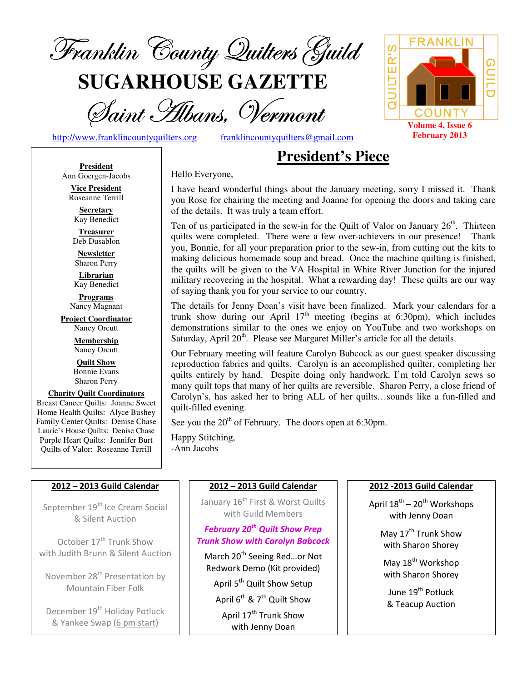

**SUGARHOUSE GAZETTE**

Saint Hibans, Vermont

http://www.franklincountyquilters.org franklincountyquilters@gmail.com

# **President's Piece**

**President** Ann Goergen-Jacobs

**Vice President**  Roseanne Terrill **Secretary** 

Kay Benedict **Treasurer** 

Deb Dusablon

**Newsletter**  Sharon Perry

**Librarian**  Kay Benedict

**Programs** Nancy Magnant

**Project Coordinator** Nancy Orcutt

> **Membership**  Nancy Orcutt

**Quilt Show** Bonnie Evans Sharon Perry

**Charity Quilt Coordinators** Breast Cancer Quilts: Joanne Sweet Home Health Quilts: Alyce Bushey Family Center Quilts: Denise Chase Laurie's House Quilts: Denise Chase Purple Heart Quilts: Jennifer Burt Quilts of Valor: Roseanne Terrill

#### 2012 – 2013 Guild Calendar

September 19<sup>th</sup> Ice Cream Social & Silent Auction

October 17<sup>th</sup> Trunk Show with Judith Brunn & Silent Auction

November 28<sup>th</sup> Presentation by Mountain Fiber Folk

December 19<sup>th</sup> Holiday Potluck & Yankee Swap (6 pm start)

Hello Everyone,

I have heard wonderful things about the January meeting, sorry I missed it. Thank you Rose for chairing the meeting and Joanne for opening the doors and taking care of the details. It was truly a team effort.

Ten of us participated in the sew-in for the Quilt of Valor on January  $26<sup>th</sup>$ . Thirteen quilts were completed. There were a few over-achievers in our presence! Thank you, Bonnie, for all your preparation prior to the sew-in, from cutting out the kits to making delicious homemade soup and bread. Once the machine quilting is finished, the quilts will be given to the VA Hospital in White River Junction for the injured military recovering in the hospital. What a rewarding day! These quilts are our way of saying thank you for your service to our country.

 The details for Jenny Doan's visit have been finalized. Mark your calendars for a trunk show during our April  $17<sup>th</sup>$  meeting (begins at 6:30pm), which includes demonstrations similar to the ones we enjoy on YouTube and two workshops on Saturday, April  $20<sup>th</sup>$ . Please see Margaret Miller's article for all the details.

Our February meeting will feature Carolyn Babcock as our guest speaker discussing reproduction fabrics and quilts. Carolyn is an accomplished quilter, completing her quilts entirely by hand. Despite doing only handwork, I'm told Carolyn sews so many quilt tops that many of her quilts are reversible. Sharon Perry, a close friend of Carolyn's, has asked her to bring ALL of her quilts…sounds like a fun-filled and quilt-filled evening.

See you the  $20<sup>th</sup>$  of February. The doors open at 6:30pm.

Happy Stitching, -Ann Jacobs

## 2012 – 2013 Guild Calendar

January 16<sup>th</sup> First & Worst Quilts with Guild Members

February 20<sup>th</sup> Quilt Show Prep Trunk Show with Carolyn Babcock

March 20<sup>th</sup> Seeing Red...or Not Redwork Demo (Kit provided) April 5<sup>th</sup> Quilt Show Setup April  $6^{th}$  & 7<sup>th</sup> Quilt Show April 17<sup>th</sup> Trunk Show with Jenny Doan

#### 2012 -2013 Guild Calendar

April  $18^{th}$  –  $20^{th}$  Workshops with Jenny Doan

> May 17<sup>th</sup> Trunk Show with Sharon Shorey

May 18<sup>th</sup> Workshop with Sharon Shorey

June 19<sup>th</sup> Potluck & Teacup Auction

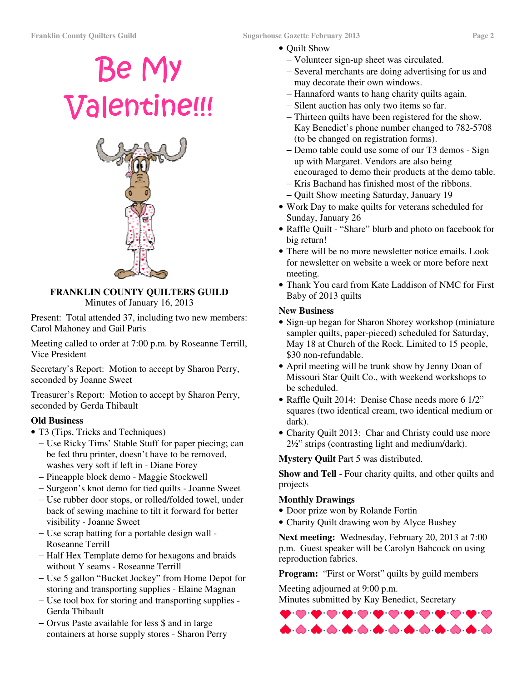# Be My Valentine!!!



# **FRANKLIN COUNTY QUILTERS GUILD**

Minutes of January 16, 2013

Present: Total attended 37, including two new members: Carol Mahoney and Gail Paris

Meeting called to order at 7:00 p.m. by Roseanne Terrill, Vice President

Secretary's Report: Motion to accept by Sharon Perry, seconded by Joanne Sweet

Treasurer's Report: Motion to accept by Sharon Perry, seconded by Gerda Thibault

## **Old Business**

- T3 (Tips, Tricks and Techniques)
	- − Use Ricky Tims' Stable Stuff for paper piecing; can be fed thru printer, doesn't have to be removed, washes very soft if left in - Diane Forey
	- − Pineapple block demo Maggie Stockwell
	- − Surgeon's knot demo for tied quilts Joanne Sweet
	- − Use rubber door stops, or rolled/folded towel, under back of sewing machine to tilt it forward for better visibility - Joanne Sweet
	- − Use scrap batting for a portable design wall Roseanne Terrill
	- − Half Hex Template demo for hexagons and braids without Y seams - Roseanne Terrill
	- − Use 5 gallon "Bucket Jockey" from Home Depot for storing and transporting supplies - Elaine Magnan
	- − Use tool box for storing and transporting supplies Gerda Thibault
	- − Orvus Paste available for less \$ and in large containers at horse supply stores - Sharon Perry
- Ouilt Show
	- − Volunteer sign-up sheet was circulated.
	- − Several merchants are doing advertising for us and may decorate their own windows.
	- − Hannaford wants to hang charity quilts again.
	- − Silent auction has only two items so far.
	- − Thirteen quilts have been registered for the show. Kay Benedict's phone number changed to 782-5708 (to be changed on registration forms).
	- − Demo table could use some of our T3 demos Sign up with Margaret. Vendors are also being encouraged to demo their products at the demo table.
	- − Kris Bachand has finished most of the ribbons.
	- − Quilt Show meeting Saturday, January 19
- Work Day to make quilts for veterans scheduled for Sunday, January 26
- Raffle Quilt "Share" blurb and photo on facebook for big return!
- There will be no more newsletter notice emails. Look for newsletter on website a week or more before next meeting.
- Thank You card from Kate Laddison of NMC for First Baby of 2013 quilts

#### **New Business**

- Sign-up began for Sharon Shorey workshop (miniature) sampler quilts, paper-pieced) scheduled for Saturday, May 18 at Church of the Rock. Limited to 15 people, \$30 non-refundable.
- April meeting will be trunk show by Jenny Doan of Missouri Star Quilt Co., with weekend workshops to be scheduled.
- Raffle Quilt 2014: Denise Chase needs more 6 1/2" squares (two identical cream, two identical medium or dark).
- Charity Quilt 2013: Char and Christy could use more 2½" strips (contrasting light and medium/dark).

**Mystery Quilt** Part 5 was distributed.

**Show and Tell** - Four charity quilts, and other quilts and projects

## **Monthly Drawings**

- Door prize won by Rolande Fortin
- Charity Quilt drawing won by Alyce Bushey

**Next meeting:** Wednesday, February 20, 2013 at 7:00 p.m. Guest speaker will be Carolyn Babcock on using reproduction fabrics.

Program: "First or Worst" quilts by guild members

Meeting adjourned at 9:00 p.m. Minutes submitted by Kay Benedict, Secretary

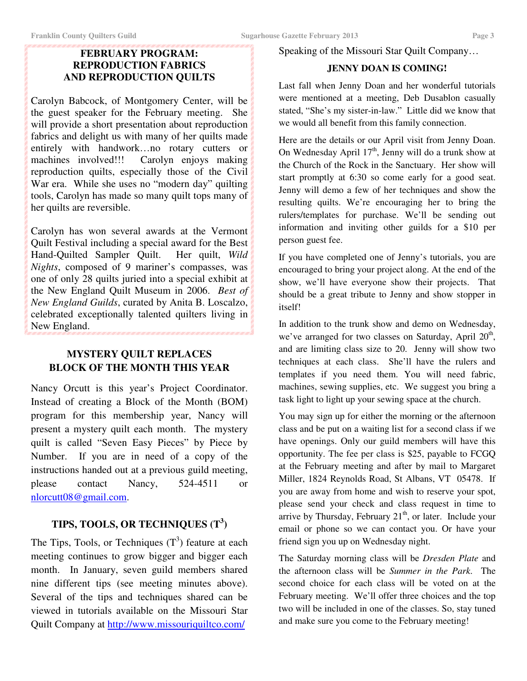## **FEBRUARY PROGRAM: REPRODUCTION FABRICS AND REPRODUCTION QUILTS**

Carolyn Babcock, of Montgomery Center, will be the guest speaker for the February meeting. She will provide a short presentation about reproduction fabrics and delight us with many of her quilts made entirely with handwork…no rotary cutters or machines involved!!! Carolyn enjoys making reproduction quilts, especially those of the Civil War era. While she uses no "modern day" quilting tools, Carolyn has made so many quilt tops many of her quilts are reversible.

Carolyn has won several awards at the Vermont Quilt Festival including a special award for the Best Hand-Quilted Sampler Quilt. Her quilt, *Wild Nights*, composed of 9 mariner's compasses, was one of only 28 quilts juried into a special exhibit at the New England Quilt Museum in 2006. *Best of New England Guilds*, curated by Anita B. Loscalzo, celebrated exceptionally talented quilters living in New England.

## **MYSTERY QUILT REPLACES BLOCK OF THE MONTH THIS YEAR**

Nancy Orcutt is this year's Project Coordinator. Instead of creating a Block of the Month (BOM) program for this membership year, Nancy will present a mystery quilt each month. The mystery quilt is called "Seven Easy Pieces" by Piece by Number. If you are in need of a copy of the instructions handed out at a previous guild meeting, please contact Nancy, 524-4511 or nlorcutt08@gmail.com.

## **TIPS, TOOLS, OR TECHNIQUES (T<sup>3</sup> )**

The Tips, Tools, or Techniques  $(T^3)$  feature at each meeting continues to grow bigger and bigger each month. In January, seven guild members shared nine different tips (see meeting minutes above). Several of the tips and techniques shared can be viewed in tutorials available on the Missouri Star Quilt Company at http://www.missouriquiltco.com/

#### Speaking of the Missouri Star Quilt Company…

#### **JENNY DOAN IS COMING!**

Last fall when Jenny Doan and her wonderful tutorials were mentioned at a meeting, Deb Dusablon casually stated, "She's my sister-in-law." Little did we know that we would all benefit from this family connection.

Here are the details or our April visit from Jenny Doan. On Wednesday April  $17<sup>th</sup>$ , Jenny will do a trunk show at the Church of the Rock in the Sanctuary. Her show will start promptly at 6:30 so come early for a good seat. Jenny will demo a few of her techniques and show the resulting quilts. We're encouraging her to bring the rulers/templates for purchase. We'll be sending out information and inviting other guilds for a \$10 per person guest fee.

If you have completed one of Jenny's tutorials, you are encouraged to bring your project along. At the end of the show, we'll have everyone show their projects. That should be a great tribute to Jenny and show stopper in itself!

In addition to the trunk show and demo on Wednesday, we've arranged for two classes on Saturday, April 20<sup>th</sup>, and are limiting class size to 20. Jenny will show two techniques at each class. She'll have the rulers and templates if you need them. You will need fabric, machines, sewing supplies, etc. We suggest you bring a task light to light up your sewing space at the church.

You may sign up for either the morning or the afternoon class and be put on a waiting list for a second class if we have openings. Only our guild members will have this opportunity. The fee per class is \$25, payable to FCGQ at the February meeting and after by mail to Margaret Miller, 1824 Reynolds Road, St Albans, VT 05478. If you are away from home and wish to reserve your spot, please send your check and class request in time to arrive by Thursday, February  $21<sup>th</sup>$ , or later. Include your email or phone so we can contact you. Or have your friend sign you up on Wednesday night.

The Saturday morning class will be *Dresden Plate* and the afternoon class will be *Summer in the Park*. The second choice for each class will be voted on at the February meeting. We'll offer three choices and the top two will be included in one of the classes. So, stay tuned and make sure you come to the February meeting!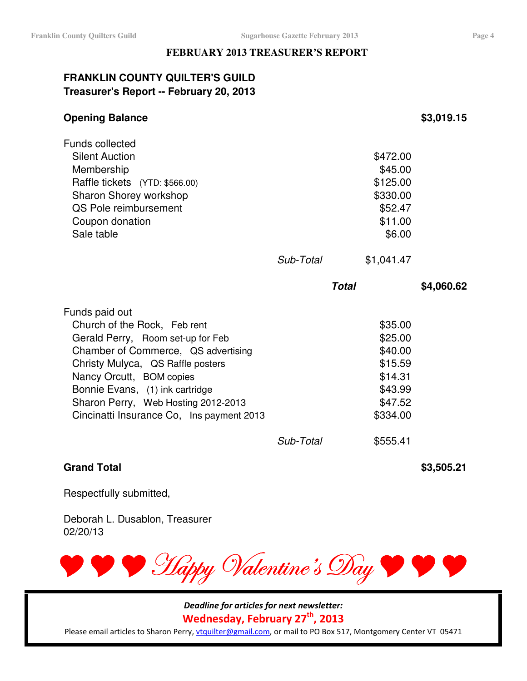#### **FEBRUARY 2013 TREASURER'S REPORT**

## **FRANKLIN COUNTY QUILTER'S GUILD Treasurer's Report -- February 20, 2013**

| <b>Opening Balance</b>                                                                                                                                                                                                                                                                                             |              |                                                                                       | \$3,019.15 |
|--------------------------------------------------------------------------------------------------------------------------------------------------------------------------------------------------------------------------------------------------------------------------------------------------------------------|--------------|---------------------------------------------------------------------------------------|------------|
| <b>Funds collected</b><br><b>Silent Auction</b><br>Membership<br>Raffle tickets (YTD: \$566.00)<br>Sharon Shorey workshop<br>QS Pole reimbursement<br>Coupon donation<br>Sale table                                                                                                                                |              | \$472.00<br>\$45.00<br>\$125.00<br>\$330.00<br>\$52.47<br>\$11.00<br>\$6.00           |            |
|                                                                                                                                                                                                                                                                                                                    | Sub-Total    | \$1,041.47                                                                            |            |
|                                                                                                                                                                                                                                                                                                                    | <b>Total</b> |                                                                                       | \$4,060.62 |
|                                                                                                                                                                                                                                                                                                                    |              |                                                                                       |            |
| Funds paid out<br>Church of the Rock, Feb rent<br>Gerald Perry, Room set-up for Feb<br>Chamber of Commerce, QS advertising<br>Christy Mulyca, QS Raffle posters<br>Nancy Orcutt, BOM copies<br>Bonnie Evans, (1) ink cartridge<br>Sharon Perry, Web Hosting 2012-2013<br>Cincinatti Insurance Co, Ins payment 2013 |              | \$35.00<br>\$25.00<br>\$40.00<br>\$15.59<br>\$14.31<br>\$43.99<br>\$47.52<br>\$334.00 |            |

## **Grand Total \$3,505.21**

Respectfully submitted,

Deborah L. Dusablon, Treasurer 02/20/13



Deadline for articles for next newsletter:

Wednesday, February 27<sup>th</sup>, 2013

Please email articles to Sharon Perry, vtquilter@gmail.com, or mail to PO Box 517, Montgomery Center VT 05471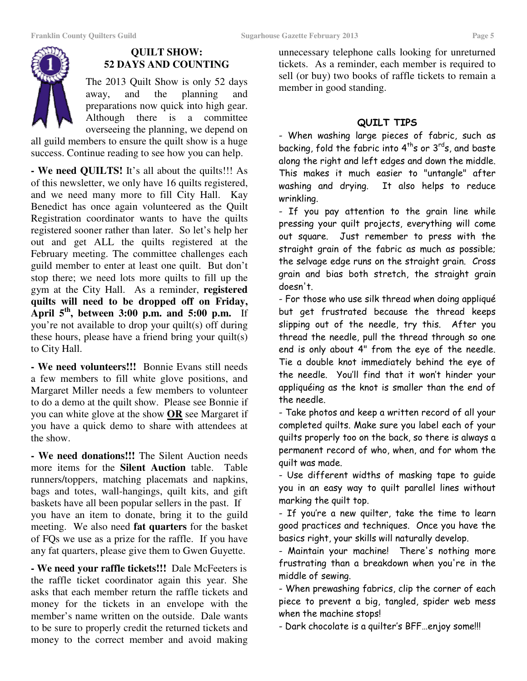

#### **QUILT SHOW: 52 DAYS AND COUNTING**

The 2013 Quilt Show is only 52 days away, and the planning and preparations now quick into high gear. Although there is a committee overseeing the planning, we depend on

all guild members to ensure the quilt show is a huge success. Continue reading to see how you can help.

**- We need QUILTS!** It's all about the quilts!!! As of this newsletter, we only have 16 quilts registered, and we need many more to fill City Hall. Kay Benedict has once again volunteered as the Quilt Registration coordinator wants to have the quilts registered sooner rather than later. So let's help her out and get ALL the quilts registered at the February meeting. The committee challenges each guild member to enter at least one quilt. But don't stop there; we need lots more quilts to fill up the gym at the City Hall. As a reminder, **registered quilts will need to be dropped off on Friday, April 5th, between 3:00 p.m. and 5:00 p.m.** If you're not available to drop your quilt(s) off during these hours, please have a friend bring your quilt(s) to City Hall.

**- We need volunteers!!!** Bonnie Evans still needs a few members to fill white glove positions, and Margaret Miller needs a few members to volunteer to do a demo at the quilt show. Please see Bonnie if you can white glove at the show **OR** see Margaret if you have a quick demo to share with attendees at the show.

**- We need donations!!!** The Silent Auction needs more items for the **Silent Auction** table. Table runners/toppers, matching placemats and napkins, bags and totes, wall-hangings, quilt kits, and gift baskets have all been popular sellers in the past. If you have an item to donate, bring it to the guild meeting. We also need **fat quarters** for the basket of FQs we use as a prize for the raffle. If you have any fat quarters, please give them to Gwen Guyette.

**- We need your raffle tickets!!!** Dale McFeeters is the raffle ticket coordinator again this year. She asks that each member return the raffle tickets and money for the tickets in an envelope with the member's name written on the outside. Dale wants to be sure to properly credit the returned tickets and money to the correct member and avoid making

unnecessary telephone calls looking for unreturned tickets. As a reminder, each member is required to sell (or buy) two books of raffle tickets to remain a member in good standing.

## QUILT TIPS

- When washing large pieces of fabric, such as backing, fold the fabric into  $4<sup>th</sup>s$  or  $3<sup>rd</sup>s$ , and baste along the right and left edges and down the middle. This makes it much easier to "untangle" after washing and drying. It also helps to reduce wrinkling.

- If you pay attention to the grain line while pressing your quilt projects, everything will come out square. Just remember to press with the straight grain of the fabric as much as possible; the selvage edge runs on the straight grain. Cross grain and bias both stretch, the straight grain doesn't.

- For those who use silk thread when doing appliqué but get frustrated because the thread keeps slipping out of the needle, try this. After you thread the needle, pull the thread through so one end is only about 4" from the eye of the needle. Tie a double knot immediately behind the eye of the needle. You'll find that it won't hinder your appliquéing as the knot is smaller than the end of the needle.

- Take photos and keep a written record of all your completed quilts. Make sure you label each of your quilts properly too on the back, so there is always a permanent record of who, when, and for whom the quilt was made.

- Use different widths of masking tape to guide you in an easy way to quilt parallel lines without marking the quilt top.

- If you're a new quilter, take the time to learn good practices and techniques. Once you have the basics right, your skills will naturally develop.

- Maintain your machine! There's nothing more frustrating than a breakdown when you're in the middle of sewing.

- When prewashing fabrics, clip the corner of each piece to prevent a big, tangled, spider web mess when the machine stops!

- Dark chocolate is a quilter's BFF…enjoy some!!!